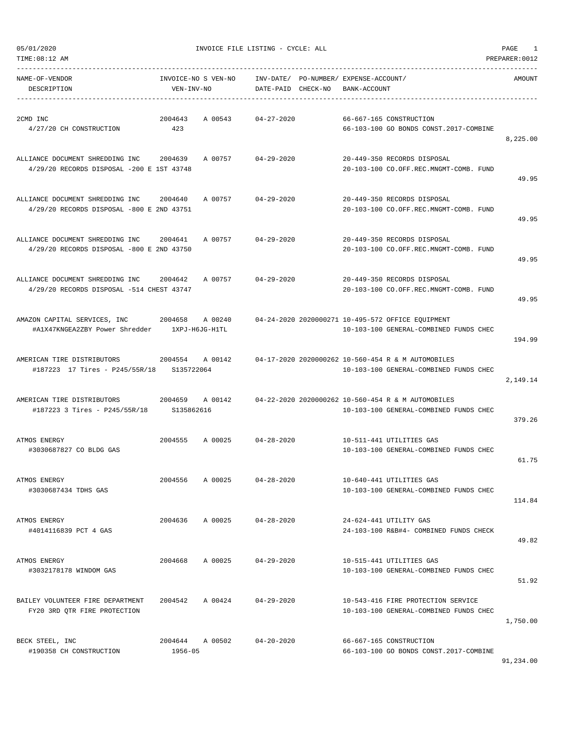| TIME: 08:12 AM                                                               |                                   |         |                        |          |                                             |                                                                                              | PREPARER: 0012 |
|------------------------------------------------------------------------------|-----------------------------------|---------|------------------------|----------|---------------------------------------------|----------------------------------------------------------------------------------------------|----------------|
| NAME-OF-VENDOR<br>DESCRIPTION                                                | INVOICE-NO S VEN-NO<br>VEN-INV-NO |         | INV-DATE/<br>DATE-PAID | CHECK-NO | PO-NUMBER/ EXPENSE-ACCOUNT/<br>BANK-ACCOUNT |                                                                                              | AMOUNT         |
| 2CMD INC<br>4/27/20 CH CONSTRUCTION                                          | 2004643<br>423                    | A 00543 | $04 - 27 - 2020$       |          |                                             | 66-667-165 CONSTRUCTION<br>66-103-100 GO BONDS CONST.2017-COMBINE                            | 8,225.00       |
| ALLIANCE DOCUMENT SHREDDING INC<br>4/29/20 RECORDS DISPOSAL -200 E 1ST 43748 | 2004639                           | A 00757 | $04 - 29 - 2020$       |          |                                             | 20-449-350 RECORDS DISPOSAL<br>20-103-100 CO.OFF.REC.MNGMT-COMB. FUND                        | 49.95          |
| ALLIANCE DOCUMENT SHREDDING INC<br>4/29/20 RECORDS DISPOSAL -800 E 2ND 43751 | 2004640                           | A 00757 | $04 - 29 - 2020$       |          |                                             | 20-449-350 RECORDS DISPOSAL<br>20-103-100 CO.OFF.REC.MNGMT-COMB. FUND                        | 49.95          |
| ALLIANCE DOCUMENT SHREDDING INC<br>4/29/20 RECORDS DISPOSAL -800 E 2ND 43750 | 2004641                           | A 00757 | $04 - 29 - 2020$       |          |                                             | 20-449-350 RECORDS DISPOSAL<br>20-103-100 CO.OFF.REC.MNGMT-COMB. FUND                        | 49.95          |
| ALLIANCE DOCUMENT SHREDDING INC<br>4/29/20 RECORDS DISPOSAL -514 CHEST 43747 | 2004642                           | A 00757 | $04 - 29 - 2020$       |          |                                             | 20-449-350 RECORDS DISPOSAL<br>20-103-100 CO.OFF.REC.MNGMT-COMB. FUND                        | 49.95          |
| AMAZON CAPITAL SERVICES, INC<br>#A1X47KNGEA2ZBY Power Shredder               | 2004658<br>1XPJ-H6JG-H1TL         | A 00240 |                        |          |                                             | 04-24-2020 2020000271 10-495-572 OFFICE EQUIPMENT<br>10-103-100 GENERAL-COMBINED FUNDS CHEC  | 194.99         |
| AMERICAN TIRE DISTRIBUTORS<br>#187223 17 Tires - P245/55R/18                 | 2004554<br>S135722064             | A 00142 |                        |          |                                             | 04-17-2020 2020000262 10-560-454 R & M AUTOMOBILES<br>10-103-100 GENERAL-COMBINED FUNDS CHEC | 2,149.14       |
| AMERICAN TIRE DISTRIBUTORS<br>#187223 3 Tires - P245/55R/18                  | 2004659<br>S135862616             | A 00142 |                        |          |                                             | 04-22-2020 2020000262 10-560-454 R & M AUTOMOBILES<br>10-103-100 GENERAL-COMBINED FUNDS CHEC | 379.26         |
| ATMOS ENERGY<br>#3030687827 CO BLDG GAS                                      | 2004555                           | A 00025 | $04 - 28 - 2020$       |          |                                             | 10-511-441 UTILITIES GAS<br>10-103-100 GENERAL-COMBINED FUNDS CHEC                           | 61.75          |
| ATMOS ENERGY<br>#3030687434 TDHS GAS                                         | 2004556                           | A 00025 | $04 - 28 - 2020$       |          |                                             | 10-640-441 UTILITIES GAS<br>10-103-100 GENERAL-COMBINED FUNDS CHEC                           | 114.84         |
| ATMOS ENERGY<br>#4014116839 PCT 4 GAS                                        | 2004636                           | A 00025 | $04 - 28 - 2020$       |          |                                             | 24-624-441 UTILITY GAS<br>24-103-100 R&B#4- COMBINED FUNDS CHECK                             | 49.82          |
| ATMOS ENERGY<br>#3032178178 WINDOM GAS                                       | 2004668                           | A 00025 | $04 - 29 - 2020$       |          |                                             | 10-515-441 UTILITIES GAS<br>10-103-100 GENERAL-COMBINED FUNDS CHEC                           | 51.92          |
| BAILEY VOLUNTEER FIRE DEPARTMENT<br>FY20 3RD QTR FIRE PROTECTION             | 2004542                           | A 00424 | $04 - 29 - 2020$       |          |                                             | 10-543-416 FIRE PROTECTION SERVICE<br>10-103-100 GENERAL-COMBINED FUNDS CHEC                 | 1,750.00       |
| BECK STEEL, INC<br>#190358 CH CONSTRUCTION                                   | 2004644<br>1956-05                | A 00502 | $04 - 20 - 2020$       |          |                                             | 66-667-165 CONSTRUCTION<br>66-103-100 GO BONDS CONST.2017-COMBINE                            | 91,234.00      |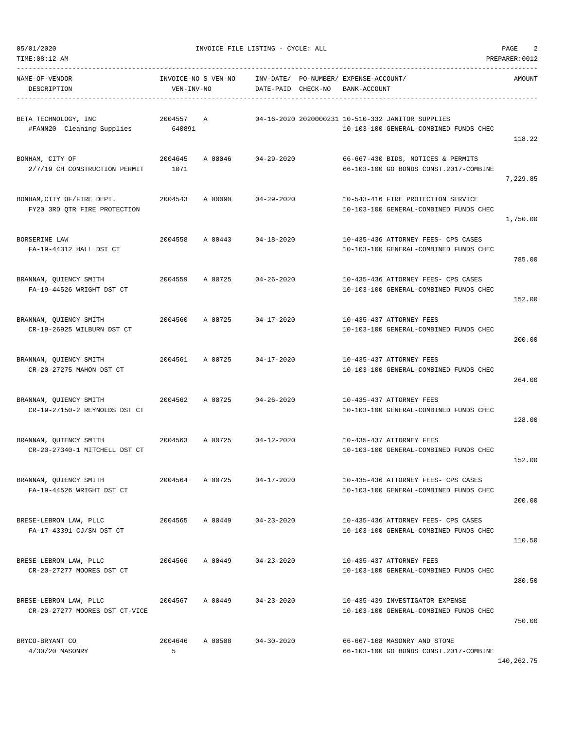| NAME-OF-VENDOR<br>DESCRIPTION                                         | VEN-INV-NO      |         | DATE-PAID CHECK-NO         | INVOICE-NO S VEN-NO INV-DATE/ PO-NUMBER/ EXPENSE-ACCOUNT/<br>BANK-ACCOUNT                   | AMOUNT   |
|-----------------------------------------------------------------------|-----------------|---------|----------------------------|---------------------------------------------------------------------------------------------|----------|
| BETA TECHNOLOGY, INC<br>2004557 A<br>#FANN20 Cleaning Supplies 640891 |                 |         |                            | 04-16-2020 2020000231 10-510-332 JANITOR SUPPLIES<br>10-103-100 GENERAL-COMBINED FUNDS CHEC | 118.22   |
| BONHAM, CITY OF<br>2/7/19 CH CONSTRUCTION PERMIT 1071                 | 2004645         | A 00046 | 04-29-2020                 | 66-667-430 BIDS, NOTICES & PERMITS<br>66-103-100 GO BONDS CONST. 2017-COMBINE               | 7,229.85 |
| BONHAM, CITY OF/FIRE DEPT. 2004543<br>FY20 3RD QTR FIRE PROTECTION    |                 |         | A 00090 04-29-2020         | 10-543-416 FIRE PROTECTION SERVICE<br>10-103-100 GENERAL-COMBINED FUNDS CHEC                | 1,750.00 |
| BORSERINE LAW<br>FA-19-44312 HALL DST CT                              |                 |         | 2004558 A 00443 04-18-2020 | 10-435-436 ATTORNEY FEES- CPS CASES<br>10-103-100 GENERAL-COMBINED FUNDS CHEC               | 785.00   |
| BRANNAN, QUIENCY SMITH<br>FA-19-44526 WRIGHT DST CT                   |                 |         | 2004559 A 00725 04-26-2020 | 10-435-436 ATTORNEY FEES- CPS CASES<br>10-103-100 GENERAL-COMBINED FUNDS CHEC               | 152.00   |
| BRANNAN, QUIENCY SMITH<br>CR-19-26925 WILBURN DST CT                  |                 |         | 2004560 A 00725 04-17-2020 | 10-435-437 ATTORNEY FEES<br>10-103-100 GENERAL-COMBINED FUNDS CHEC                          | 200.00   |
| BRANNAN, QUIENCY SMITH<br>CR-20-27275 MAHON DST CT                    |                 |         | 2004561 A 00725 04-17-2020 | 10-435-437 ATTORNEY FEES<br>10-103-100 GENERAL-COMBINED FUNDS CHEC                          | 264.00   |
| BRANNAN, QUIENCY SMITH<br>CR-19-27150-2 REYNOLDS DST CT               | 2004562 A 00725 |         | $04 - 26 - 2020$           | 10-435-437 ATTORNEY FEES<br>10-103-100 GENERAL-COMBINED FUNDS CHEC                          | 128.00   |
| BRANNAN, OUIENCY SMITH<br>CR-20-27340-1 MITCHELL DST CT               |                 |         | 2004563 A 00725 04-12-2020 | 10-435-437 ATTORNEY FEES<br>10-103-100 GENERAL-COMBINED FUNDS CHEC                          | 152.00   |
| BRANNAN, QUIENCY SMITH<br>FA-19-44526 WRIGHT DST CT                   | 2004564 A 00725 |         | $04 - 17 - 2020$           | 10-435-436 ATTORNEY FEES- CPS CASES<br>10-103-100 GENERAL-COMBINED FUNDS CHEC               | 200.00   |
| BRESE-LEBRON LAW, PLLC<br>FA-17-43391 CJ/SN DST CT                    | 2004565         |         | A 00449 04-23-2020         | 10-435-436 ATTORNEY FEES- CPS CASES<br>10-103-100 GENERAL-COMBINED FUNDS CHEC               | 110.50   |
| BRESE-LEBRON LAW, PLLC<br>CR-20-27277 MOORES DST CT                   | 2004566 A 00449 |         | $04 - 23 - 2020$           | 10-435-437 ATTORNEY FEES<br>10-103-100 GENERAL-COMBINED FUNDS CHEC                          | 280.50   |
| BRESE-LEBRON LAW, PLLC<br>CR-20-27277 MOORES DST CT-VICE              | 2004567 A 00449 |         | 04-23-2020                 | 10-435-439 INVESTIGATOR EXPENSE<br>10-103-100 GENERAL-COMBINED FUNDS CHEC                   | 750.00   |
| BRYCO-BRYANT CO<br>4/30/20 MASONRY                                    | 2004646<br>5    | A 00508 | 04-30-2020                 | 66-667-168 MASONRY AND STONE<br>66-103-100 GO BONDS CONST.2017-COMBINE                      |          |

140,262.75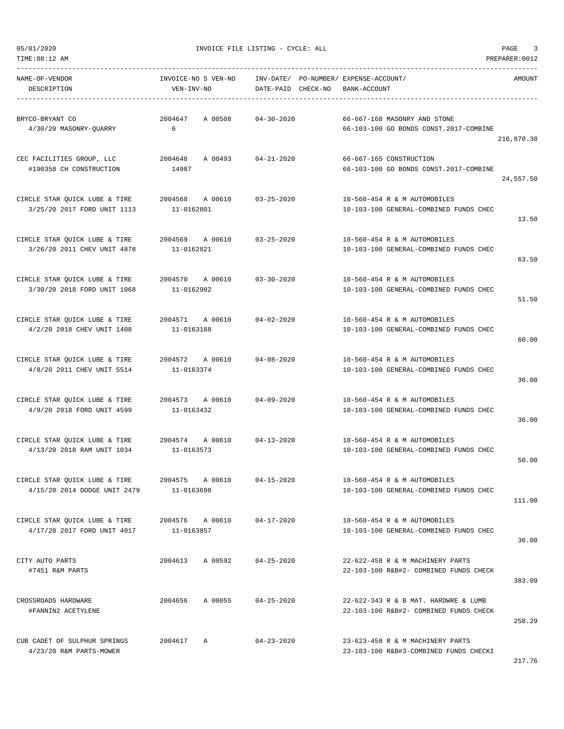TIME:08:12 AM PREPARER:0012

05/01/2020 INVOICE FILE LISTING - CYCLE: ALL PAGE 3

| NAME-OF-VENDOR<br>DESCRIPTION                                                                               | INVOICE-NO S VEN-NO      INV-DATE/ PO-NUMBER/ EXPENSE-ACCOUNT/<br>VEN-INV-NO | DATE-PAID CHECK-NO BANK-ACCOUNT |                                                                                | AMOUNT     |
|-------------------------------------------------------------------------------------------------------------|------------------------------------------------------------------------------|---------------------------------|--------------------------------------------------------------------------------|------------|
| BRYCO-BRYANT CO<br>4/30/20 MASONRY-QUARRY 6                                                                 | 2004647 A 00508 04-30-2020                                                   |                                 | 66-667-168 MASONRY AND STONE<br>66-103-100 GO BONDS CONST.2017-COMBINE         | 216,870.38 |
| CEC FACILITIES GROUP, LLC<br>#190358 CH CONSTRUCTION                                                        | 2004648 A 00493 04-21-2020<br>14987                                          |                                 | 66-667-165 CONSTRUCTION<br>66-103-100 GO BONDS CONST.2017-COMBINE              | 24,557.50  |
| CIRCLE STAR QUICK LUBE & TIRE $2004568$ A 00610 $03-25-2020$<br>3/25/20 2017 FORD UNIT 1113                 | 11-0162801                                                                   |                                 | 10-560-454 R & M AUTOMOBILES<br>10-103-100 GENERAL-COMBINED FUNDS CHEC         | 13.50      |
| CIRCLE STAR QUICK LUBE & TIRE 		 2004569 		 A 00610 		 03-25-2020<br>3/26/20 2011 CHEV UNIT 4878 11-0162821 |                                                                              |                                 | 10-560-454 R & M AUTOMOBILES<br>10-103-100 GENERAL-COMBINED FUNDS CHEC         | 63.50      |
| CIRCLE STAR QUICK LUBE & TIRE $2004570$ A 00610 03-30-2020<br>3/30/20 2018 FORD UNIT 1068                   | 11-0162982                                                                   |                                 | 10-560-454 R & M AUTOMOBILES<br>10-103-100 GENERAL-COMBINED FUNDS CHEC         | 51.50      |
| CIRCLE STAR QUICK LUBE & TIRE $2004571$ A 00610 $04-02-2020$<br>4/2/20 2018 CHEV UNIT 1408                  | 11-0163188                                                                   |                                 | 10-560-454 R & M AUTOMOBILES<br>10-103-100 GENERAL-COMBINED FUNDS CHEC         | 60.00      |
| CIRCLE STAR QUICK LUBE & TIRE $2004572$ A 00610 $04-08-2020$<br>4/8/20 2011 CHEV UNIT 5514                  | 11-0163374                                                                   |                                 | 10-560-454 R & M AUTOMOBILES<br>10-103-100 GENERAL-COMBINED FUNDS CHEC         | 36.00      |
| CIRCLE STAR QUICK LUBE & TIRE $2004573$ A 00610 04-09-2020<br>4/9/20 2018 FORD UNIT 4599 11-0163432         |                                                                              |                                 | 10-560-454 R & M AUTOMOBILES<br>10-103-100 GENERAL-COMBINED FUNDS CHEC         | 36.00      |
| CIRCLE STAR OUICK LUBE & TIRE $2004574$ A 00610 $04-13-2020$<br>4/13/20 2018 RAM UNIT 1034 11-0163573       |                                                                              |                                 | 10-560-454 R & M AUTOMOBILES<br>10-103-100 GENERAL-COMBINED FUNDS CHEC         | 50.00      |
| CIRCLE STAR QUICK LUBE & TIRE<br>4/15/20 2014 DODGE UNIT 2479                                               | 2004575 A 00610<br>11-0163698                                                | $04 - 15 - 2020$                | 10-560-454 R & M AUTOMOBILES<br>10-103-100 GENERAL-COMBINED FUNDS CHEC         | 111.00     |
| CIRCLE STAR QUICK LUBE & TIRE $2004576$ A 00610 04-17-2020<br>4/17/20 2017 FORD UNIT 4017                   | 11-0163857                                                                   |                                 | 10-560-454 R & M AUTOMOBILES<br>10-103-100 GENERAL-COMBINED FUNDS CHEC         | 36.00      |
| CITY AUTO PARTS<br>#7451 R&M PARTS                                                                          | 2004613 A 00592                                                              | $04 - 25 - 2020$                | 22-622-458 R & M MACHINERY PARTS<br>22-103-100 R&B#2- COMBINED FUNDS CHECK     | 383.09     |
| CROSSROADS HARDWARE<br>#FANNIN2 ACETYLENE                                                                   | 2004656 A 00055                                                              | $04 - 25 - 2020$                | 22-622-343 R & B MAT. HARDWRE & LUMB<br>22-103-100 R&B#2- COMBINED FUNDS CHECK | 258.29     |
| CUB CADET OF SULPHUR SPRINGS<br>4/23/20 R&M PARTS-MOWER                                                     | 2004617 A                                                                    | $04 - 23 - 2020$                | 23-623-458 R & M MACHINERY PARTS<br>23-103-100 R&B#3-COMBINED FUNDS CHECKI     |            |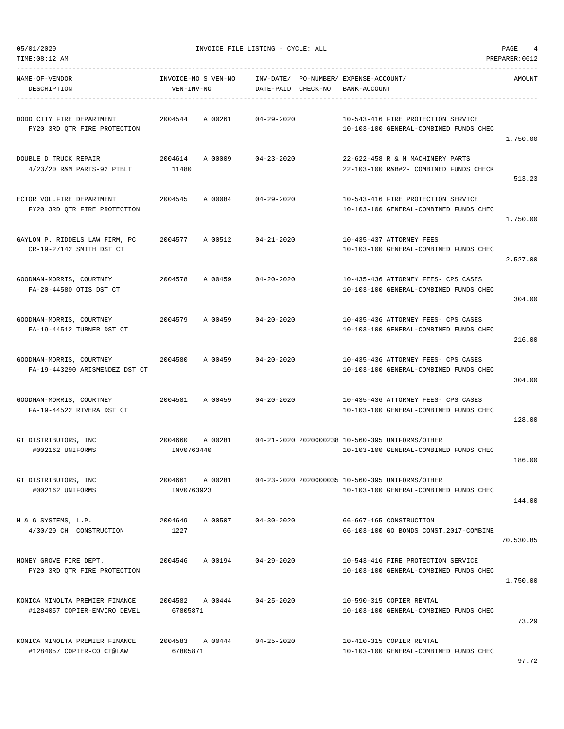TIME:08:12 AM PREPARER:0012 -----------------------------------------------------------------------------------------------------------------------------------

NAME-OF-VENDOR INVOICE-NO S VEN-NO INV-DATE/ PO-NUMBER/ EXPENSE-ACCOUNT/ AMOUNT DESCRIPTION VEN-INV-NO DATE-PAID CHECK-NO BANK-ACCOUNT ----------------------------------------------------------------------------------------------------------------------------------- DODD CITY FIRE DEPARTMENT 2004544 A 00261 04-29-2020 10-543-416 FIRE PROTECTION SERVICE FY20 3RD QTR FIRE PROTECTION 10-103-100 GENERAL-COMBINED FUNDS CHEC 1,750.00 DOUBLE D TRUCK REPAIR 2004614 A 00009 04-23-2020 22-622-458 R & M MACHINERY PARTS 4/23/20 R&M PARTS-92 PTBLT 11480 22-103-100 R&B#2- COMBINED FUNDS CHECK 513.23 ECTOR VOL.FIRE DEPARTMENT 2004545 A 00084 04-29-2020 10-543-416 FIRE PROTECTION SERVICE FY20 3RD QTR FIRE PROTECTION 10-103-100 GENERAL-COMBINED FUNDS CHEC 1,750.00 GAYLON P. RIDDELS LAW FIRM, PC 2004577 A 00512 04-21-2020 10-435-437 ATTORNEY FEES CR-19-27142 SMITH DST CT 10-103-100 GENERAL-COMBINED FUNDS CHEC 2,527.00 GOODMAN-MORRIS, COURTNEY 2004578 A 00459 04-20-2020 10-435-436 ATTORNEY FEES- CPS CASES FA-20-44580 OTIS DST CT 10-103-100 GENERAL-COMBINED FUNDS CHEC 304.00 GOODMAN-MORRIS, COURTNEY 2004579 A 00459 04-20-2020 10-435-436 ATTORNEY FEES- CPS CASES FA-19-44512 TURNER DST CT 10-103-100 GENERAL-COMBINED FUNDS CHEC 216.00 GOODMAN-MORRIS, COURTNEY 2004580 A 00459 04-20-2020 10-435-436 ATTORNEY FEES- CPS CASES FA-19-443290 ARISMENDEZ DST CT 10-103-100 GENERAL-COMBINED FUNDS CHEC 304.00 GOODMAN-MORRIS, COURTNEY 2004581 A 00459 04-20-2020 10-435-436 ATTORNEY FEES- CPS CASES FA-19-44522 RIVERA DST CT 10-103-100 GENERAL-COMBINED FUNDS CHEC 128.00 GT DISTRIBUTORS, INC 2004660 A 00281 04-21-2020 2020000238 10-560-395 UNIFORMS/OTHER #002162 UNIFORMS INV0763440 10-103-100 GENERAL-COMBINED FUNDS CHEC 186.00 GT DISTRIBUTORS, INC 2004661 A 00281 04-23-2020 2020000035 10-560-395 UNIFORMS/OTHER #002162 UNIFORMS INV0763923 10-103-100 GENERAL-COMBINED FUNDS CHEC 144.00 H & G SYSTEMS, L.P. 2004649 A 00507 04-30-2020 66-667-165 CONSTRUCTION 4/30/20 CH CONSTRUCTION 1227 66-103-100 GO BONDS CONST.2017-COMBINE 70,530.85 HONEY GROVE FIRE DEPT. 2004546 A 00194 04-29-2020 10-543-416 FIRE PROTECTION SERVICE FY20 3RD QTR FIRE PROTECTION 10-103-100 GENERAL-COMBINED FUNDS CHEC 1,750.00 KONICA MINOLTA PREMIER FINANCE 2004582 A 00444 04-25-2020 10-590-315 COPIER RENTAL #1284057 COPIER-ENVIRO DEVEL 67805871 10-103-100 GENERAL-COMBINED FUNDS CHEC 73.29 KONICA MINOLTA PREMIER FINANCE 2004583 A 00444 04-25-2020 10-410-315 COPIER RENTAL #1284057 COPIER-CO CT@LAW 67805871 10-103-100 GENERAL-COMBINED FUNDS CHEC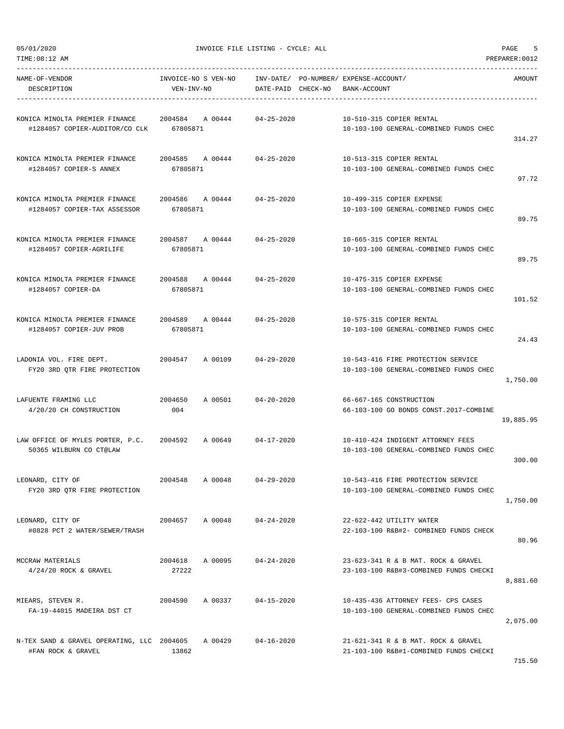TIME:08:12 AM PREPARER:0012 -----------------------------------------------------------------------------------------------------------------------------------

| NAME-OF-VENDOR<br>DESCRIPTION                                            | INVOICE-NO S VEN-NO<br>VEN-INV-NO |         | INV-DATE/<br>DATE-PAID | CHECK-NO | PO-NUMBER/ EXPENSE-ACCOUNT/<br>BANK-ACCOUNT |                                                                               | <b>AMOUNT</b> |
|--------------------------------------------------------------------------|-----------------------------------|---------|------------------------|----------|---------------------------------------------|-------------------------------------------------------------------------------|---------------|
| KONICA MINOLTA PREMIER FINANCE<br>#1284057 COPIER-AUDITOR/CO CLK         | 2004584<br>67805871               | A 00444 | $04 - 25 - 2020$       |          |                                             | 10-510-315 COPIER RENTAL<br>10-103-100 GENERAL-COMBINED FUNDS CHEC            | 314.27        |
| KONICA MINOLTA PREMIER FINANCE<br>#1284057 COPIER-S ANNEX                | 2004585<br>67805871               | A 00444 | $04 - 25 - 2020$       |          |                                             | 10-513-315 COPIER RENTAL<br>10-103-100 GENERAL-COMBINED FUNDS CHEC            | 97.72         |
| KONICA MINOLTA PREMIER FINANCE<br>#1284057 COPIER-TAX ASSESSOR           | 2004586<br>67805871               | A 00444 | $04 - 25 - 2020$       |          |                                             | 10-499-315 COPIER EXPENSE<br>10-103-100 GENERAL-COMBINED FUNDS CHEC           | 89.75         |
| KONICA MINOLTA PREMIER FINANCE<br>#1284057 COPIER-AGRILIFE               | 2004587<br>67805871               | A 00444 | $04 - 25 - 2020$       |          |                                             | 10-665-315 COPIER RENTAL<br>10-103-100 GENERAL-COMBINED FUNDS CHEC            | 89.75         |
| KONICA MINOLTA PREMIER FINANCE<br>#1284057 COPIER-DA                     | 2004588<br>67805871               | A 00444 | $04 - 25 - 2020$       |          |                                             | 10-475-315 COPIER EXPENSE<br>10-103-100 GENERAL-COMBINED FUNDS CHEC           | 101.52        |
| KONICA MINOLTA PREMIER FINANCE<br>#1284057 COPIER-JUV PROB               | 2004589<br>67805871               | A 00444 | $04 - 25 - 2020$       |          |                                             | 10-575-315 COPIER RENTAL<br>10-103-100 GENERAL-COMBINED FUNDS CHEC            | 24.43         |
| LADONIA VOL. FIRE DEPT.<br>FY20 3RD QTR FIRE PROTECTION                  | 2004547                           | A 00109 | $04 - 29 - 2020$       |          |                                             | 10-543-416 FIRE PROTECTION SERVICE<br>10-103-100 GENERAL-COMBINED FUNDS CHEC  | 1,750.00      |
| LAFUENTE FRAMING LLC<br>4/20/20 CH CONSTRUCTION                          | 2004650<br>004                    | A 00501 | $04 - 20 - 2020$       |          |                                             | 66-667-165 CONSTRUCTION<br>66-103-100 GO BONDS CONST.2017-COMBINE             | 19,885.95     |
| LAW OFFICE OF MYLES PORTER, P.C.<br>50365 WILBURN CO CT@LAW              | 2004592                           | A 00649 | $04 - 17 - 2020$       |          |                                             | 10-410-424 INDIGENT ATTORNEY FEES<br>10-103-100 GENERAL-COMBINED FUNDS CHEC   | 300.00        |
| LEONARD, CITY OF<br>FY20 3RD QTR FIRE PROTECTION                         | 2004548                           | A 00048 | $04 - 29 - 2020$       |          |                                             | 10-543-416 FIRE PROTECTION SERVICE<br>10-103-100 GENERAL-COMBINED FUNDS CHEC  | 1,750.00      |
| LEONARD, CITY OF<br>#0828 PCT 2 WATER/SEWER/TRASH                        | 2004657                           | A 00048 | $04 - 24 - 2020$       |          |                                             | 22-622-442 UTILITY WATER<br>22-103-100 R&B#2- COMBINED FUNDS CHECK            | 80.96         |
| MCCRAW MATERIALS<br>$4/24/20$ ROCK & GRAVEL                              | 2004618 A 00095<br>27222          |         | $04 - 24 - 2020$       |          |                                             | 23-623-341 R & B MAT. ROCK & GRAVEL<br>23-103-100 R&B#3-COMBINED FUNDS CHECKI | 8,881.60      |
| MIEARS, STEVEN R.<br>FA-19-44015 MADEIRA DST CT                          | 2004590 A 00337                   |         | 04-15-2020             |          |                                             | 10-435-436 ATTORNEY FEES- CPS CASES<br>10-103-100 GENERAL-COMBINED FUNDS CHEC | 2,075.00      |
| N-TEX SAND & GRAVEL OPERATING, LLC 2004605 A 00429<br>#FAN ROCK & GRAVEL | 13862                             |         | $04 - 16 - 2020$       |          |                                             | 21-621-341 R & B MAT. ROCK & GRAVEL<br>21-103-100 R&B#1-COMBINED FUNDS CHECKI | 715.50        |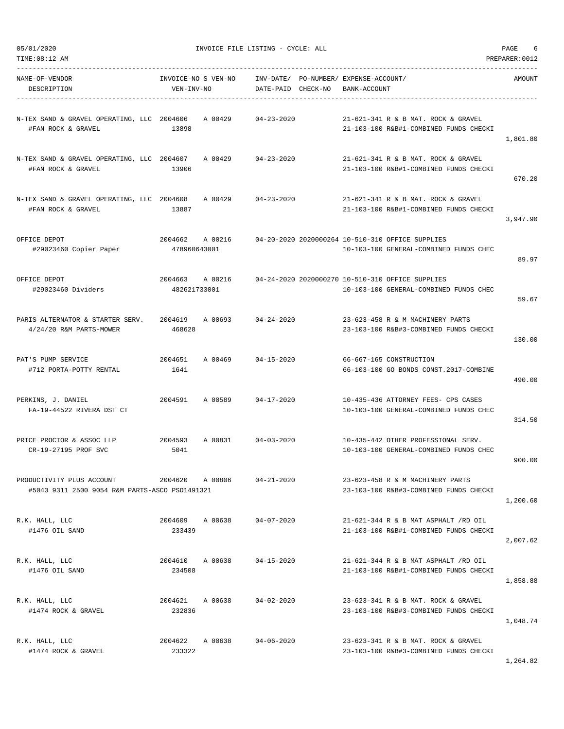|  | 05/01/2020 |
|--|------------|
|  |            |

| TIME:08:12 AM                                                               |                                   |         |                    |                                                       |                                                                                            | PREPARER: 0012 |
|-----------------------------------------------------------------------------|-----------------------------------|---------|--------------------|-------------------------------------------------------|--------------------------------------------------------------------------------------------|----------------|
| NAME-OF-VENDOR<br>DESCRIPTION                                               | INVOICE-NO S VEN-NO<br>VEN-INV-NO |         | DATE-PAID CHECK-NO | INV-DATE/ PO-NUMBER/ EXPENSE-ACCOUNT/<br>BANK-ACCOUNT |                                                                                            | AMOUNT         |
| N-TEX SAND & GRAVEL OPERATING, LLC 2004606<br>#FAN ROCK & GRAVEL            | 13898                             | A 00429 | $04 - 23 - 2020$   |                                                       | 21-621-341 R & B MAT. ROCK & GRAVEL<br>21-103-100 R&B#1-COMBINED FUNDS CHECKI              | 1,801.80       |
| N-TEX SAND & GRAVEL OPERATING, LLC 2004607<br>#FAN ROCK & GRAVEL            | 13906                             | A 00429 | 04-23-2020         |                                                       | 21-621-341 R & B MAT, ROCK & GRAVEL<br>21-103-100 R&B#1-COMBINED FUNDS CHECKI              | 670.20         |
| N-TEX SAND & GRAVEL OPERATING, LLC 2004608<br>#FAN ROCK & GRAVEL            | 13887                             | A 00429 | $04 - 23 - 2020$   |                                                       | 21-621-341 R & B MAT. ROCK & GRAVEL<br>21-103-100 R&B#1-COMBINED FUNDS CHECKI              | 3,947.90       |
| OFFICE DEPOT<br>#29023460 Copier Paper                                      | 2004662 A 00216<br>478960643001   |         |                    |                                                       | 04-20-2020 2020000264 10-510-310 OFFICE SUPPLIES<br>10-103-100 GENERAL-COMBINED FUNDS CHEC | 89.97          |
| OFFICE DEPOT<br>#29023460 Dividers                                          | 2004663<br>482621733001           | A 00216 |                    |                                                       | 04-24-2020 2020000270 10-510-310 OFFICE SUPPLIES<br>10-103-100 GENERAL-COMBINED FUNDS CHEC | 59.67          |
| PARIS ALTERNATOR & STARTER SERV.<br>4/24/20 R&M PARTS-MOWER                 | 2004619<br>468628                 | A 00693 | $04 - 24 - 2020$   |                                                       | 23-623-458 R & M MACHINERY PARTS<br>23-103-100 R&B#3-COMBINED FUNDS CHECKI                 | 130.00         |
| PAT'S PUMP SERVICE<br>#712 PORTA-POTTY RENTAL                               | 2004651<br>1641                   | A 00469 | $04 - 15 - 2020$   |                                                       | 66-667-165 CONSTRUCTION<br>66-103-100 GO BONDS CONST.2017-COMBINE                          | 490.00         |
| PERKINS, J. DANIEL<br>FA-19-44522 RIVERA DST CT                             | 2004591                           | A 00589 | $04 - 17 - 2020$   |                                                       | 10-435-436 ATTORNEY FEES- CPS CASES<br>10-103-100 GENERAL-COMBINED FUNDS CHEC              | 314.50         |
| PRICE PROCTOR & ASSOC LLP<br>CR-19-27195 PROF SVC                           | 2004593<br>5041                   | A 00831 | $04 - 03 - 2020$   |                                                       | 10-435-442 OTHER PROFESSIONAL SERV.<br>10-103-100 GENERAL-COMBINED FUNDS CHEC              | 900.00         |
| PRODUCTIVITY PLUS ACCOUNT<br>#5043 9311 2500 9054 R&M PARTS-ASCO PS01491321 | 2004620                           | A 00806 | $04 - 21 - 2020$   |                                                       | 23-623-458 R & M MACHINERY PARTS<br>23-103-100 R&B#3-COMBINED FUNDS CHECKI                 | 1,200.60       |
| R.K. HALL, LLC<br>#1476 OIL SAND                                            | 2004609 A 00638<br>233439         |         | $04 - 07 - 2020$   |                                                       | 21-621-344 R & B MAT ASPHALT /RD OIL<br>21-103-100 R&B#1-COMBINED FUNDS CHECKI             | 2,007.62       |
| R.K. HALL, LLC<br>#1476 OIL SAND                                            | 2004610 A 00638<br>234508         |         | $04 - 15 - 2020$   |                                                       | 21-621-344 R & B MAT ASPHALT /RD OIL<br>21-103-100 R&B#1-COMBINED FUNDS CHECKI             | 1,858.88       |
| R.K. HALL, LLC<br>#1474 ROCK & GRAVEL                                       | 2004621 A 00638<br>232836         |         | $04 - 02 - 2020$   |                                                       | 23-623-341 R & B MAT. ROCK & GRAVEL<br>23-103-100 R&B#3-COMBINED FUNDS CHECKI              | 1,048.74       |
| R.K. HALL, LLC<br>#1474 ROCK & GRAVEL                                       | 2004622 A 00638<br>233322         |         | $04 - 06 - 2020$   |                                                       | 23-623-341 R & B MAT. ROCK & GRAVEL<br>23-103-100 R&B#3-COMBINED FUNDS CHECKI              |                |

1,264.82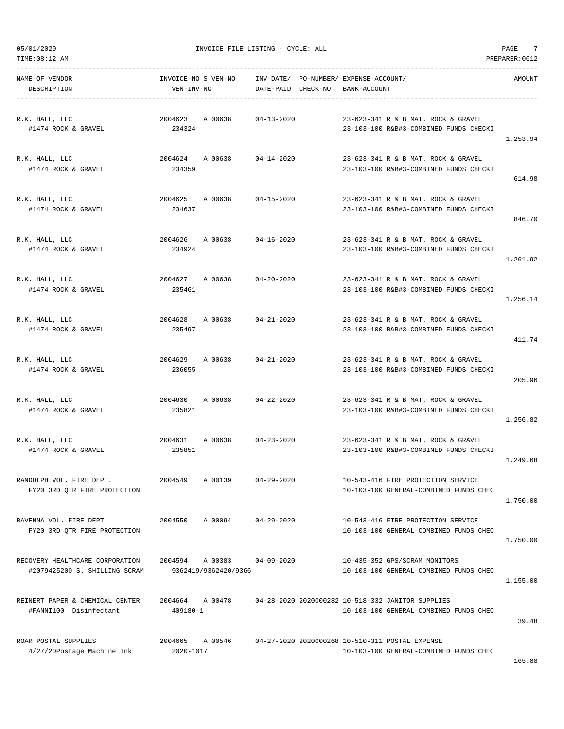TIME:08:12 AM PREPARER:0012

05/01/2020 INVOICE FILE LISTING - CYCLE: ALL PAGE 7

| NAME-OF-VENDOR<br>DESCRIPTION                                    | INVOICE-NO S VEN-NO<br>VEN-INV-NO       | INV-DATE/ PO-NUMBER/ EXPENSE-ACCOUNT/<br>DATE-PAID CHECK-NO BANK-ACCOUNT |                                                                                             | AMOUNT   |
|------------------------------------------------------------------|-----------------------------------------|--------------------------------------------------------------------------|---------------------------------------------------------------------------------------------|----------|
| R.K. HALL, LLC<br>#1474 ROCK & GRAVEL                            | 2004623 A 00638<br>234324               | $04 - 13 - 2020$                                                         | 23-623-341 R & B MAT. ROCK & GRAVEL<br>23-103-100 R&B#3-COMBINED FUNDS CHECKI               | 1,253.94 |
| R.K. HALL, LLC<br>#1474 ROCK & GRAVEL                            | 2004624 A 00638 04-14-2020<br>234359    |                                                                          | 23-623-341 R & B MAT. ROCK & GRAVEL<br>23-103-100 R&B#3-COMBINED FUNDS CHECKI               | 614.98   |
| R.K. HALL, LLC<br>#1474 ROCK & GRAVEL                            | 2004625 A 00638 04-15-2020<br>234637    |                                                                          | 23-623-341 R & B MAT. ROCK & GRAVEL<br>23-103-100 R&B#3-COMBINED FUNDS CHECKI               | 846.70   |
| R.K. HALL, LLC<br>#1474 ROCK & GRAVEL                            | 2004626 A 00638 04-16-2020<br>234924    |                                                                          | 23-623-341 R & B MAT. ROCK & GRAVEL<br>23-103-100 R&B#3-COMBINED FUNDS CHECKI               | 1,261.92 |
| R.K. HALL, LLC<br>#1474 ROCK & GRAVEL                            | 2004627 A 00638 04-20-2020<br>235461    |                                                                          | 23-623-341 R & B MAT. ROCK & GRAVEL<br>23-103-100 R&B#3-COMBINED FUNDS CHECKI               | 1,256.14 |
| R.K. HALL, LLC<br>#1474 ROCK & GRAVEL                            | 2004628 A 00638 04-21-2020<br>235497    |                                                                          | 23-623-341 R & B MAT. ROCK & GRAVEL<br>23-103-100 R&B#3-COMBINED FUNDS CHECKI               | 411.74   |
| R.K. HALL, LLC<br>#1474 ROCK & GRAVEL                            | 2004629 A 00638 04-21-2020<br>236055    |                                                                          | 23-623-341 R & B MAT. ROCK & GRAVEL<br>23-103-100 R&B#3-COMBINED FUNDS CHECKI               | 205.96   |
| R.K. HALL, LLC<br>#1474 ROCK & GRAVEL                            | 2004630 A 00638 04-22-2020<br>235821    |                                                                          | 23-623-341 R & B MAT. ROCK & GRAVEL<br>23-103-100 R&B#3-COMBINED FUNDS CHECKI               | 1,256.82 |
| R.K. HALL, LLC<br>#1474 ROCK & GRAVEL                            | 2004631 A 00638 04-23-2020<br>235851    |                                                                          | 23-623-341 R & B MAT. ROCK & GRAVEL<br>23-103-100 R&B#3-COMBINED FUNDS CHECKI               | 1,249.68 |
| RANDOLPH VOL. FIRE DEPT.<br>FY20 3RD QTR FIRE PROTECTION         | 2004549<br>A 00139                      | $04 - 29 - 2020$                                                         | 10-543-416 FIRE PROTECTION SERVICE<br>10-103-100 GENERAL-COMBINED FUNDS CHEC                | 1,750.00 |
| RAVENNA VOL. FIRE DEPT.<br>FY20 3RD QTR FIRE PROTECTION          | A 00094<br>2004550                      | $04 - 29 - 2020$                                                         | 10-543-416 FIRE PROTECTION SERVICE<br>10-103-100 GENERAL-COMBINED FUNDS CHEC                | 1,750.00 |
| RECOVERY HEALTHCARE CORPORATION<br>#2079425200 S. SHILLING SCRAM | 2004594 A 00383<br>9362419/9362420/9366 | $04 - 09 - 2020$                                                         | 10-435-352 GPS/SCRAM MONITORS<br>10-103-100 GENERAL-COMBINED FUNDS CHEC                     | 1,155.00 |
| REINERT PAPER & CHEMICAL CENTER<br>#FANNI100 Disinfectant        | 2004664<br>A 00478<br>409180-1          |                                                                          | 04-28-2020 2020000282 10-518-332 JANITOR SUPPLIES<br>10-103-100 GENERAL-COMBINED FUNDS CHEC | 39.48    |
| ROAR POSTAL SUPPLIES<br>4/27/20Postage Machine Ink               | 2004665<br>A 00546<br>2020-1017         |                                                                          | 04-27-2020 2020000268 10-510-311 POSTAL EXPENSE<br>10-103-100 GENERAL-COMBINED FUNDS CHEC   | 165.88   |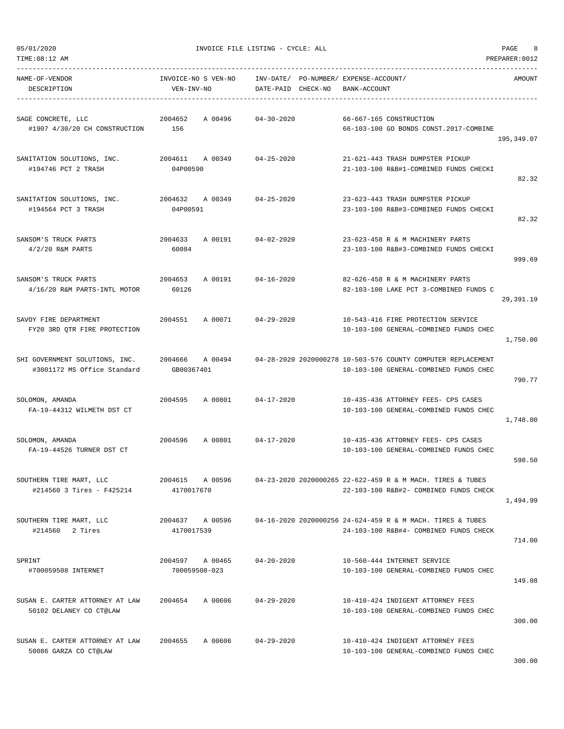| NAME-OF-VENDOR<br>DESCRIPTION                                                | INVOICE-NO S VEN-NO<br>VEN-INV-NO | INV-DATE/ PO-NUMBER/ EXPENSE-ACCOUNT/<br>DATE-PAID CHECK-NO | BANK-ACCOUNT                                                                                                                                          | AMOUNT     |
|------------------------------------------------------------------------------|-----------------------------------|-------------------------------------------------------------|-------------------------------------------------------------------------------------------------------------------------------------------------------|------------|
| SAGE CONCRETE, LLC<br>#1907 4/30/20 CH CONSTRUCTION                          | A 00496<br>2004652<br>156         | 04-30-2020                                                  | 66-667-165 CONSTRUCTION<br>66-103-100 GO BONDS CONST.2017-COMBINE                                                                                     | 195,349.07 |
| SANITATION SOLUTIONS, INC. 2004611 A 00349 04-25-2020<br>#194746 PCT 2 TRASH | 04P00590                          |                                                             | 21-621-443 TRASH DUMPSTER PICKUP<br>21-103-100 R&B#1-COMBINED FUNDS CHECKI                                                                            | 82.32      |
| SANITATION SOLUTIONS, INC.<br>#194564 PCT 3 TRASH                            | 2004632<br>04P00591               | A 00349 04-25-2020                                          | 23-623-443 TRASH DUMPSTER PICKUP<br>23-103-100 R&B#3-COMBINED FUNDS CHECKI                                                                            | 82.32      |
| SANSOM'S TRUCK PARTS<br>$4/2/20$ R&M PARTS                                   | 2004633<br>60084                  | A 00191 04-02-2020                                          | 23-623-458 R & M MACHINERY PARTS<br>23-103-100 R&B#3-COMBINED FUNDS CHECKI                                                                            | 999.69     |
| SANSOM'S TRUCK PARTS<br>4/16/20 R&M PARTS-INTL MOTOR                         | 2004653<br>60126                  | A 00191 04-16-2020                                          | 82-626-458 R & M MACHINERY PARTS<br>82-103-100 LAKE PCT 3-COMBINED FUNDS C                                                                            | 29,391.19  |
| SAVOY FIRE DEPARTMENT<br>FY20 3RD QTR FIRE PROTECTION                        | 2004551                           | A 00071 04-29-2020                                          | 10-543-416 FIRE PROTECTION SERVICE<br>10-103-100 GENERAL-COMBINED FUNDS CHEC                                                                          | 1,750.00   |
| #3001172 MS Office Standard                                                  | GB00367401                        |                                                             | SHI GOVERNMENT SOLUTIONS, INC. 2004666 A 00494 04-28-2020 2020000278 10-503-576 COUNTY COMPUTER REPLACEMENT<br>10-103-100 GENERAL-COMBINED FUNDS CHEC | 790.77     |
| SOLOMON, AMANDA<br>FA-19-44312 WILMETH DST CT                                | 2004595<br>A 00801                | 04-17-2020                                                  | 10-435-436 ATTORNEY FEES- CPS CASES<br>10-103-100 GENERAL-COMBINED FUNDS CHEC                                                                         | 1,748.00   |
| SOLOMON, AMANDA<br>FA-19-44526 TURNER DST CT                                 | 2004596<br>A 00801                | 04-17-2020                                                  | 10-435-436 ATTORNEY FEES- CPS CASES<br>10-103-100 GENERAL-COMBINED FUNDS CHEC                                                                         | 598.50     |
| SOUTHERN TIRE MART, LLC<br>#214560 3 Tires - F425214                         | 2004615<br>A 00596<br>4170017670  |                                                             | 04-23-2020 2020000265 22-622-459 R & M MACH. TIRES & TUBES<br>22-103-100 R&B#2- COMBINED FUNDS CHECK                                                  | 1,494.99   |
| SOUTHERN TIRE MART, LLC<br>#214560 2 Tires                                   | 2004637 A 00596<br>4170017539     |                                                             | 04-16-2020 2020000256 24-624-459 R & M MACH. TIRES & TUBES<br>24-103-100 R&B#4- COMBINED FUNDS CHECK                                                  | 714.00     |
| SPRINT<br>#700059508 INTERNET                                                | 2004597 A 00465<br>700059508-023  | $04 - 20 - 2020$                                            | 10-560-444 INTERNET SERVICE<br>10-103-100 GENERAL-COMBINED FUNDS CHEC                                                                                 | 149.08     |
| SUSAN E. CARTER ATTORNEY AT LAW<br>50102 DELANEY CO CT@LAW                   | A 00606<br>2004654                | 04-29-2020                                                  | 10-410-424 INDIGENT ATTORNEY FEES<br>10-103-100 GENERAL-COMBINED FUNDS CHEC                                                                           | 300.00     |
| SUSAN E. CARTER ATTORNEY AT LAW<br>50086 GARZA CO CT@LAW                     | 2004655 A 00606                   | $04 - 29 - 2020$                                            | 10-410-424 INDIGENT ATTORNEY FEES<br>10-103-100 GENERAL-COMBINED FUNDS CHEC                                                                           | 200 00     |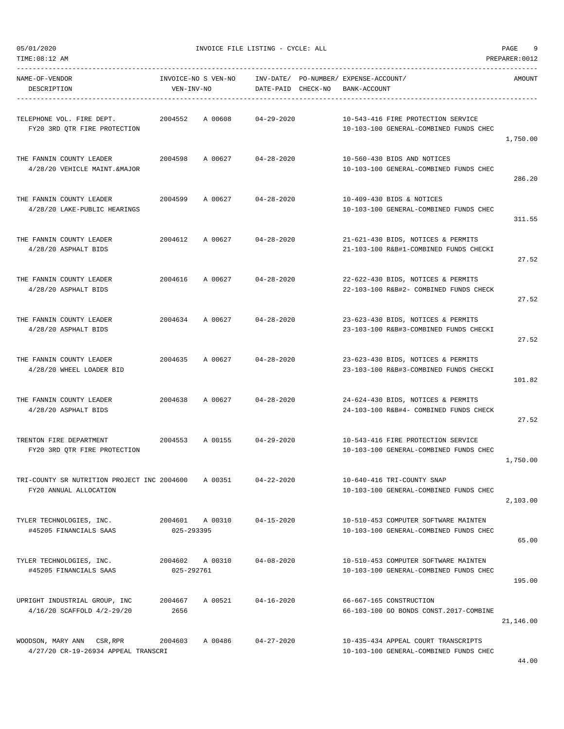| NAME-OF-VENDOR<br>DESCRIPTION                                         | VEN-INV-NO                    | INVOICE-NO S VEN-NO        | DATE-PAID CHECK-NO | INV-DATE/ PO-NUMBER/ EXPENSE-ACCOUNT/<br>BANK-ACCOUNT                          | AMOUNT    |
|-----------------------------------------------------------------------|-------------------------------|----------------------------|--------------------|--------------------------------------------------------------------------------|-----------|
| TELEPHONE VOL. FIRE DEPT.<br>FY20 3RD QTR FIRE PROTECTION             | 2004552                       | A 00608                    | 04-29-2020         | 10-543-416 FIRE PROTECTION SERVICE<br>10-103-100 GENERAL-COMBINED FUNDS CHEC   | 1,750.00  |
| THE FANNIN COUNTY LEADER<br>4/28/20 VEHICLE MAINT.&MAJOR              |                               | 2004598 A 00627 04-28-2020 |                    | 10-560-430 BIDS AND NOTICES<br>10-103-100 GENERAL-COMBINED FUNDS CHEC          | 286.20    |
| THE FANNIN COUNTY LEADER<br>4/28/20 LAKE-PUBLIC HEARINGS              | 2004599                       | A 00627                    | $04 - 28 - 2020$   | 10-409-430 BIDS & NOTICES<br>10-103-100 GENERAL-COMBINED FUNDS CHEC            | 311.55    |
| THE FANNIN COUNTY LEADER<br>4/28/20 ASPHALT BIDS                      |                               | 2004612 A 00627            | 04-28-2020         | 21-621-430 BIDS, NOTICES & PERMITS<br>21-103-100 R&B#1-COMBINED FUNDS CHECKI   | 27.52     |
| THE FANNIN COUNTY LEADER<br>4/28/20 ASPHALT BIDS                      |                               | 2004616 A 00627 04-28-2020 |                    | 22-622-430 BIDS, NOTICES & PERMITS<br>22-103-100 R&B#2- COMBINED FUNDS CHECK   | 27.52     |
| THE FANNIN COUNTY LEADER<br>4/28/20 ASPHALT BIDS                      | 2004634                       | A 00627 04-28-2020         |                    | 23-623-430 BIDS, NOTICES & PERMITS<br>23-103-100 R&B#3-COMBINED FUNDS CHECKI   | 27.52     |
| THE FANNIN COUNTY LEADER<br>4/28/20 WHEEL LOADER BID                  |                               | 2004635 A 00627 04-28-2020 |                    | 23-623-430 BIDS, NOTICES & PERMITS<br>23-103-100 R&B#3-COMBINED FUNDS CHECKI   | 101.82    |
| THE FANNIN COUNTY LEADER<br>4/28/20 ASPHALT BIDS                      |                               | 2004638 A 00627 04-28-2020 |                    | 24-624-430 BIDS, NOTICES & PERMITS<br>24-103-100 R&B#4- COMBINED FUNDS CHECK   | 27.52     |
| TRENTON FIRE DEPARTMENT<br>FY20 3RD QTR FIRE PROTECTION               | 2004553                       | A 00155 04-29-2020         |                    | 10-543-416 FIRE PROTECTION SERVICE<br>10-103-100 GENERAL-COMBINED FUNDS CHEC   | 1,750.00  |
| TRI-COUNTY SR NUTRITION PROJECT INC 2004600<br>FY20 ANNUAL ALLOCATION |                               | A 00351                    | $04 - 22 - 2020$   | 10-640-416 TRI-COUNTY SNAP<br>10-103-100 GENERAL-COMBINED FUNDS CHEC           | 2.103.00  |
| TYLER TECHNOLOGIES, INC.<br>#45205 FINANCIALS SAAS                    | 2004601 A 00310<br>025-293395 |                            | $04 - 15 - 2020$   | 10-510-453 COMPUTER SOFTWARE MAINTEN<br>10-103-100 GENERAL-COMBINED FUNDS CHEC | 65.00     |
| TYLER TECHNOLOGIES, INC.<br>#45205 FINANCIALS SAAS                    | 2004602 A 00310<br>025-292761 |                            | $04 - 08 - 2020$   | 10-510-453 COMPUTER SOFTWARE MAINTEN<br>10-103-100 GENERAL-COMBINED FUNDS CHEC | 195.00    |
| UPRIGHT INDUSTRIAL GROUP, INC<br>4/16/20 SCAFFOLD 4/2-29/20           | 2004667<br>2656               | A 00521                    | 04-16-2020         | 66-667-165 CONSTRUCTION<br>66-103-100 GO BONDS CONST.2017-COMBINE              | 21,146.00 |
| WOODSON, MARY ANN CSR, RPR<br>4/27/20 CR-19-26934 APPEAL TRANSCRI     | 2004603                       | A 00486                    | $04 - 27 - 2020$   | 10-435-434 APPEAL COURT TRANSCRIPTS<br>10-103-100 GENERAL-COMBINED FUNDS CHEC  |           |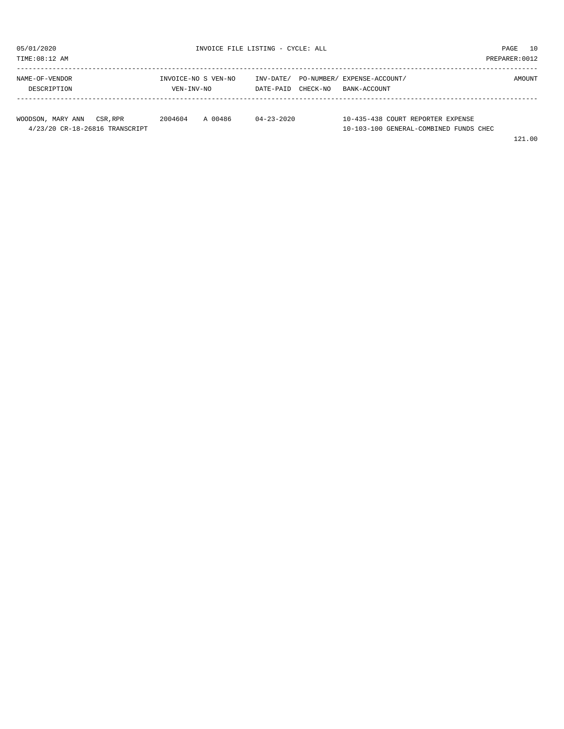| TIME:08:12 AM                  |                                   |         |                        |          |                                             | PREPARER: 0012 |
|--------------------------------|-----------------------------------|---------|------------------------|----------|---------------------------------------------|----------------|
| NAME-OF-VENDOR<br>DESCRIPTION  | INVOICE-NO S VEN-NO<br>VEN-INV-NO |         | INV-DATE/<br>DATE-PAID | CHECK-NO | PO-NUMBER/ EXPENSE-ACCOUNT/<br>BANK-ACCOUNT | AMOUNT         |
| WOODSON, MARY ANN<br>CSR, RPR  | 2004604                           | A 00486 | $04 - 23 - 2020$       |          | 10-435-438 COURT REPORTER EXPENSE           |                |
| 4/23/20 CR-18-26816 TRANSCRIPT |                                   |         |                        |          | 10-103-100 GENERAL-COMBINED FUNDS CHEC      |                |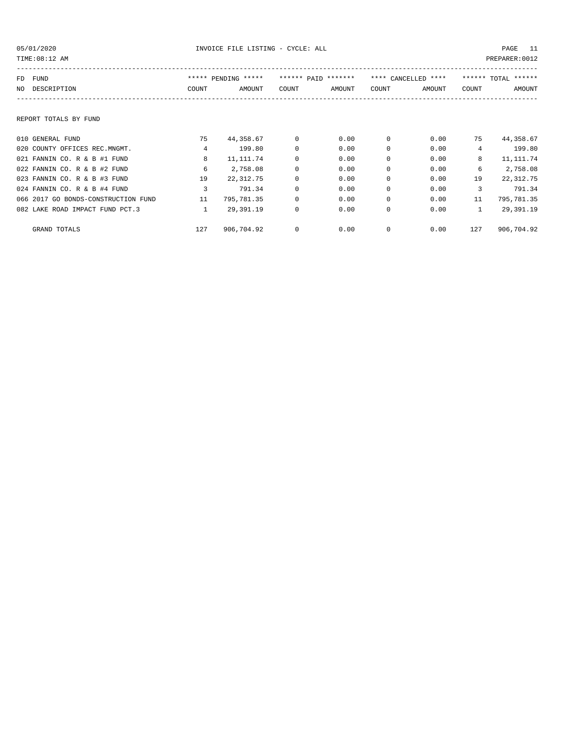| TIME: 08:12 AM                      |                |                     |             |                     |             |                     |              | PREPARER: 0012      |
|-------------------------------------|----------------|---------------------|-------------|---------------------|-------------|---------------------|--------------|---------------------|
| FUND<br>FD                          |                | ***** PENDING ***** |             | ****** PATD ******* |             | **** CANCELLED **** |              | ****** TOTAL ****** |
| DESCRIPTION<br>NO.                  | COUNT          | AMOUNT              | COUNT       | AMOUNT              | COUNT       | AMOUNT              | COUNT        | AMOUNT              |
|                                     |                |                     |             |                     |             |                     |              |                     |
| REPORT TOTALS BY FUND               |                |                     |             |                     |             |                     |              |                     |
| 010 GENERAL FUND                    | 75             | 44,358.67           | 0           | 0.00                | $\Omega$    | 0.00                | 75           | 44,358.67           |
| 020 COUNTY OFFICES REC.MNGMT.       | $\overline{4}$ | 199.80              | 0           | 0.00                | 0           | 0.00                | 4            | 199.80              |
| 021 FANNIN CO. R & B #1 FUND        | 8              | 11, 111.74          | $\mathbf 0$ | 0.00                | $\mathbf 0$ | 0.00                | 8            | 11, 111.74          |
| 022 FANNIN CO. R & B #2 FUND        | 6              | 2,758.08            | $\mathbf 0$ | 0.00                | $\mathbf 0$ | 0.00                | 6            | 2,758.08            |
| 023 FANNIN CO. R & B #3 FUND        | 19             | 22, 312.75          | $\mathbf 0$ | 0.00                | $\Omega$    | 0.00                | 19           | 22, 312.75          |
| 024 FANNIN CO. R & B #4 FUND        | 3              | 791.34              | 0           | 0.00                | $\Omega$    | 0.00                | 3            | 791.34              |
| 066 2017 GO BONDS-CONSTRUCTION FUND | 11             | 795,781.35          | 0           | 0.00                | 0           | 0.00                | 11           | 795,781.35          |
| 082 LAKE ROAD IMPACT FUND PCT.3     | $\mathbf{1}$   | 29,391.19           | $\mathbf 0$ | 0.00                | $\mathbf 0$ | 0.00                | $\mathbf{1}$ | 29,391.19           |
| GRAND TOTALS                        | 127            | 906,704.92          | 0           | 0.00                | 0           | 0.00                | 127          | 906,704.92          |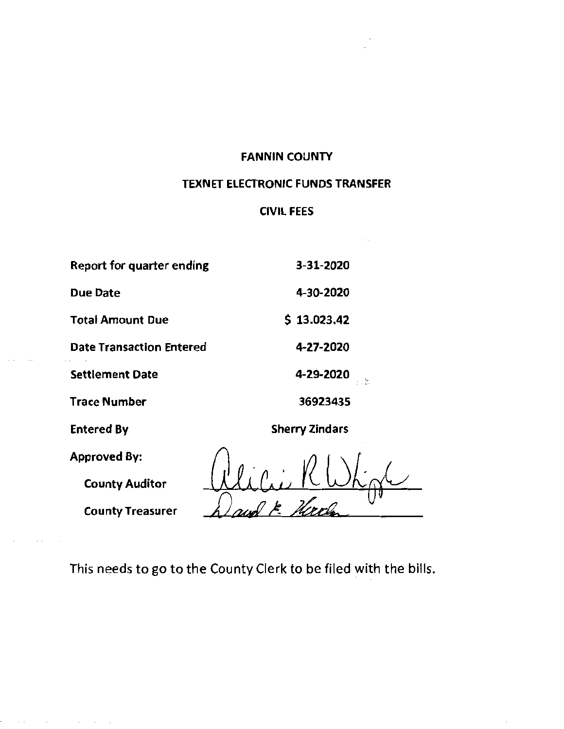#### FANNIN COUNTY

### TEXNET ELECTRONIC FUNDS **TRANSFER**

### CIVIL FEES

| Report for quarter ending       | 3-31-2020             |
|---------------------------------|-----------------------|
| <b>Due Date</b>                 | 4-30-2020             |
| <b>Total Amount Due</b>         | 513.023.42            |
| <b>Date Transaction Entered</b> | 4-27-2020             |
| <b>Settlement Date</b>          | 4-29-2020             |
| <b>Trace Number</b>             | 36923435              |
| <b>Entered By</b>               | <b>Sherry Zindars</b> |
| <b>Approved By:</b>             | $\Lambda$ $\Lambda$   |

Crie K  $\frac{\mu}{\cap}$ 

County Auditor

 $\sim$   $\sim$ 

County Treasurer

This needs to go to the County Clerk to be filed with the bills.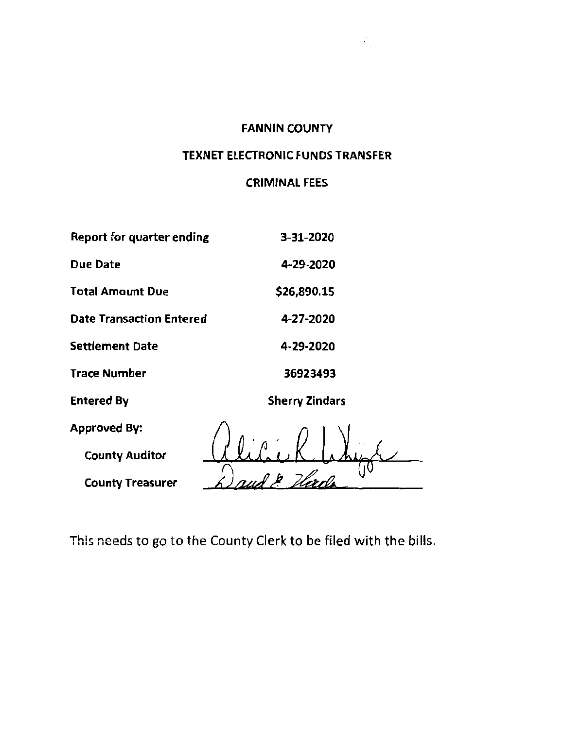### FANNIN COUNTY

 $\hat{\mathcal{L}}_j$ 

### TEXNET ELECTRONIC FUNDS TRANSFER

### CRIMINAL FEES

| Report for quarter ending       | 3-31-2020             |
|---------------------------------|-----------------------|
| <b>Due Date</b>                 | 4-29-2020             |
| Total Amount Due                | \$26,890.15           |
| <b>Date Transaction Entered</b> | 4-27-2020             |
| <b>Settlement Date</b>          | 4-29-2020             |
| <b>Trace Number</b>             | 36923493              |
| <b>Entered By</b>               | <b>Sherry Zindars</b> |
| <b>Approved By:</b>             |                       |
| <b>County Auditor</b>           |                       |
| <b>County Treasurer</b>         |                       |

This needs to go to the County Clerk to be filed with the bills.